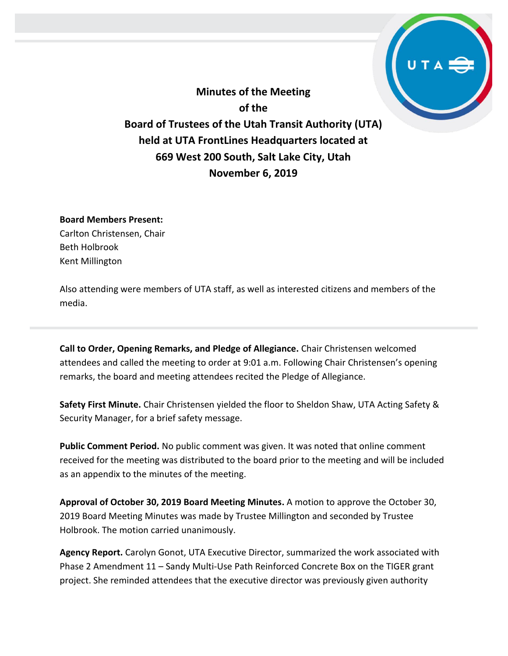**Minutes of the Meeting of the Board of Trustees of the Utah Transit Authority (UTA) held at UTA FrontLines Headquarters located at 669 West 200 South, Salt Lake City, Utah November 6, 2019**

#### **Board Members Present:**

Carlton Christensen, Chair Beth Holbrook Kent Millington

Also attending were members of UTA staff, as well as interested citizens and members of the media.

**Call to Order, Opening Remarks, and Pledge of Allegiance.** Chair Christensen welcomed attendees and called the meeting to order at 9:01 a.m. Following Chair Christensen's opening remarks, the board and meeting attendees recited the Pledge of Allegiance.

**Safety First Minute.** Chair Christensen yielded the floor to Sheldon Shaw, UTA Acting Safety & Security Manager, for a brief safety message.

**Public Comment Period.** No public comment was given. It was noted that online comment received for the meeting was distributed to the board prior to the meeting and will be included as an appendix to the minutes of the meeting.

**Approval of October 30, 2019 Board Meeting Minutes.** A motion to approve the October 30, 2019 Board Meeting Minutes was made by Trustee Millington and seconded by Trustee Holbrook. The motion carried unanimously.

**Agency Report.** Carolyn Gonot, UTA Executive Director, summarized the work associated with Phase 2 Amendment 11 – Sandy Multi-Use Path Reinforced Concrete Box on the TIGER grant project. She reminded attendees that the executive director was previously given authority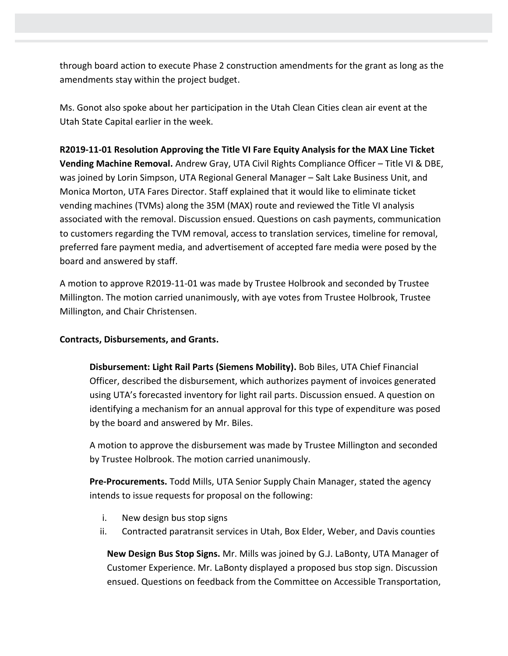through board action to execute Phase 2 construction amendments for the grant as long as the amendments stay within the project budget.

Ms. Gonot also spoke about her participation in the Utah Clean Cities clean air event at the Utah State Capital earlier in the week.

**R2019-11-01 Resolution Approving the Title VI Fare Equity Analysis for the MAX Line Ticket Vending Machine Removal.** Andrew Gray, UTA Civil Rights Compliance Officer – Title VI & DBE, was joined by Lorin Simpson, UTA Regional General Manager – Salt Lake Business Unit, and Monica Morton, UTA Fares Director. Staff explained that it would like to eliminate ticket vending machines (TVMs) along the 35M (MAX) route and reviewed the Title VI analysis associated with the removal. Discussion ensued. Questions on cash payments, communication to customers regarding the TVM removal, access to translation services, timeline for removal, preferred fare payment media, and advertisement of accepted fare media were posed by the board and answered by staff.

A motion to approve R2019-11-01 was made by Trustee Holbrook and seconded by Trustee Millington. The motion carried unanimously, with aye votes from Trustee Holbrook, Trustee Millington, and Chair Christensen.

## **Contracts, Disbursements, and Grants.**

**Disbursement: Light Rail Parts (Siemens Mobility).** Bob Biles, UTA Chief Financial Officer, described the disbursement, which authorizes payment of invoices generated using UTA's forecasted inventory for light rail parts. Discussion ensued. A question on identifying a mechanism for an annual approval for this type of expenditure was posed by the board and answered by Mr. Biles.

A motion to approve the disbursement was made by Trustee Millington and seconded by Trustee Holbrook. The motion carried unanimously.

**Pre-Procurements.** Todd Mills, UTA Senior Supply Chain Manager, stated the agency intends to issue requests for proposal on the following:

- i. New design bus stop signs
- ii. Contracted paratransit services in Utah, Box Elder, Weber, and Davis counties

**New Design Bus Stop Signs.** Mr. Mills was joined by G.J. LaBonty, UTA Manager of Customer Experience. Mr. LaBonty displayed a proposed bus stop sign. Discussion ensued. Questions on feedback from the Committee on Accessible Transportation,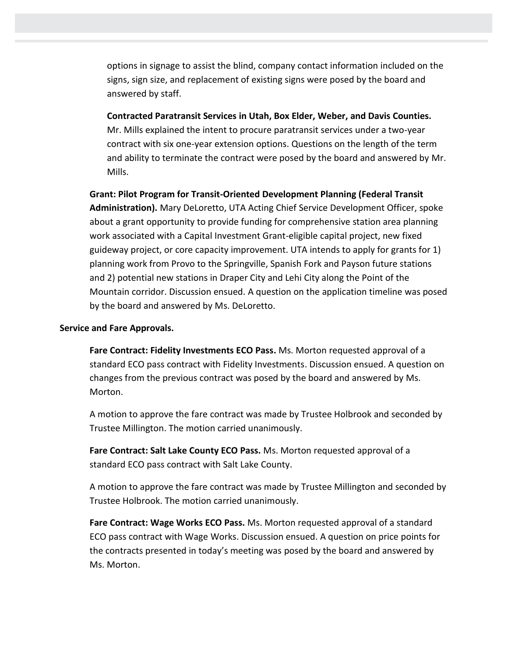options in signage to assist the blind, company contact information included on the signs, sign size, and replacement of existing signs were posed by the board and answered by staff.

**Contracted Paratransit Services in Utah, Box Elder, Weber, and Davis Counties.** Mr. Mills explained the intent to procure paratransit services under a two-year contract with six one-year extension options. Questions on the length of the term and ability to terminate the contract were posed by the board and answered by Mr. Mills.

**Grant: Pilot Program for Transit-Oriented Development Planning (Federal Transit Administration).** Mary DeLoretto, UTA Acting Chief Service Development Officer, spoke about a grant opportunity to provide funding for comprehensive station area planning work associated with a Capital Investment Grant-eligible capital project, new fixed guideway project, or core capacity improvement. UTA intends to apply for grants for 1) planning work from Provo to the Springville, Spanish Fork and Payson future stations and 2) potential new stations in Draper City and Lehi City along the Point of the Mountain corridor. Discussion ensued. A question on the application timeline was posed by the board and answered by Ms. DeLoretto.

#### **Service and Fare Approvals.**

**Fare Contract: Fidelity Investments ECO Pass.** Ms. Morton requested approval of a standard ECO pass contract with Fidelity Investments. Discussion ensued. A question on changes from the previous contract was posed by the board and answered by Ms. Morton.

A motion to approve the fare contract was made by Trustee Holbrook and seconded by Trustee Millington. The motion carried unanimously.

**Fare Contract: Salt Lake County ECO Pass.** Ms. Morton requested approval of a standard ECO pass contract with Salt Lake County.

A motion to approve the fare contract was made by Trustee Millington and seconded by Trustee Holbrook. The motion carried unanimously.

**Fare Contract: Wage Works ECO Pass.** Ms. Morton requested approval of a standard ECO pass contract with Wage Works. Discussion ensued. A question on price points for the contracts presented in today's meeting was posed by the board and answered by Ms. Morton.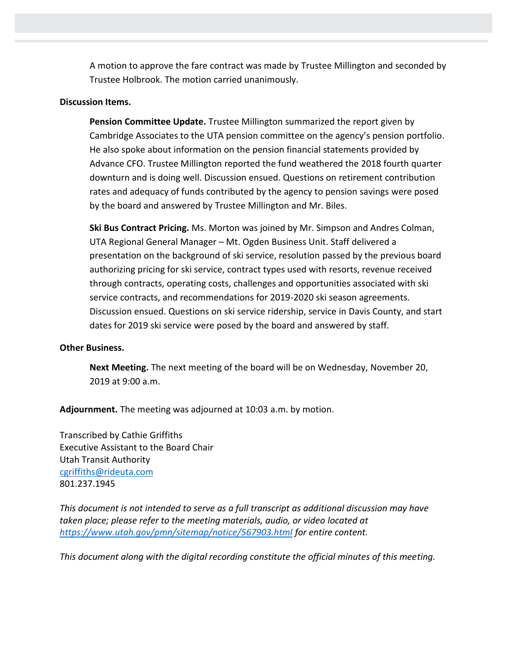A motion to approve the fare contract was made by Trustee Millington and seconded by Trustee Holbrook. The motion carried unanimously.

### **Discussion Items.**

**Pension Committee Update.** Trustee Millington summarized the report given by Cambridge Associates to the UTA pension committee on the agency's pension portfolio. He also spoke about information on the pension financial statements provided by Advance CFO. Trustee Millington reported the fund weathered the 2018 fourth quarter downturn and is doing well. Discussion ensued. Questions on retirement contribution rates and adequacy of funds contributed by the agency to pension savings were posed by the board and answered by Trustee Millington and Mr. Biles.

**Ski Bus Contract Pricing.** Ms. Morton was joined by Mr. Simpson and Andres Colman, UTA Regional General Manager – Mt. Ogden Business Unit. Staff delivered a presentation on the background of ski service, resolution passed by the previous board authorizing pricing for ski service, contract types used with resorts, revenue received through contracts, operating costs, challenges and opportunities associated with ski service contracts, and recommendations for 2019-2020 ski season agreements. Discussion ensued. Questions on ski service ridership, service in Davis County, and start dates for 2019 ski service were posed by the board and answered by staff.

#### **Other Business.**

**Next Meeting.** The next meeting of the board will be on Wednesday, November 20, 2019 at 9:00 a.m.

**Adjournment.** The meeting was adjourned at 10:03 a.m. by motion.

Transcribed by Cathie Griffiths Executive Assistant to the Board Chair Utah Transit Authority [cgriffiths@rideuta.com](mailto:cgriffiths@rideuta.com) 801.237.1945

*This document is not intended to serve as a full transcript as additional discussion may have taken place; please refer to the meeting materials, audio, or video located at <https://www.utah.gov/pmn/sitemap/notice/567903.html> for entire content.*

*This document along with the digital recording constitute the official minutes of this meeting.*